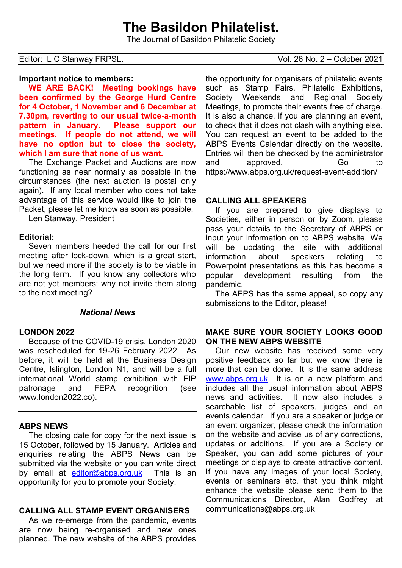# **The Basildon Philatelist.**

The Journal of Basildon Philatelic Society

#### **Important notice to members:**

**WE ARE BACK! Meeting bookings have been confirmed by the George Hurd Centre for 4 October, 1 November and 6 December at 7.30pm, reverting to our usual twice-a-month pattern in January. Please support our meetings. If people do not attend, we will have no option but to close the society, which I am sure that none of us want.**

The Exchange Packet and Auctions are now functioning as near normally as possible in the circumstances (the next auction is postal only again). If any local member who does not take advantage of this service would like to join the Packet, please let me know as soon as possible.

Len Stanway, President

#### **Editorial:**

Seven members heeded the call for our first meeting after lock-down, which is a great start, but we need more if the society is to be viable in the long term. If you know any collectors who are not yet members; why not invite them along to the next meeting?

#### *National News*

#### **LONDON 2022**

Because of the COVID-19 crisis, London 2020 was rescheduled for 19-26 February 2022. As before, it will be held at the Business Design Centre, Islington, London N1, and will be a full international World stamp exhibition with FIP patronage and FEPA recognition (see www.london2022.co).

#### **ABPS NEWS**

The closing date for copy for the next issue is 15 October, followed by 15 January. Articles and enquiries relating the ABPS News can be submitted via the website or you can write direct by email at [editor@abps.org.uk](mailto:editor@abps.org.uk) This is an opportunity for you to promote your Society.

### **CALLING ALL STAMP EVENT ORGANISERS**

As we re-emerge from the pandemic, events are now being re-organised and new ones planned. The new website of the ABPS provides the opportunity for organisers of philatelic events such as Stamp Fairs, Philatelic Exhibitions, Society Weekends and Regional Society Meetings, to promote their events free of charge. It is also a chance, if you are planning an event, to check that it does not clash with anything else. You can request an event to be added to the ABPS Events Calendar directly on the website. Entries will then be checked by the administrator and approved. Go to https://www.abps.org.uk/request-event-addition/

### **CALLING ALL SPEAKERS**

If you are prepared to give displays to Societies, either in person or by Zoom, please pass your details to the Secretary of ABPS or input your information on to ABPS website. We will be updating the site with additional information about speakers relating to Powerpoint presentations as this has become a popular development resulting from the pandemic.

The AEPS has the same appeal, so copy any submissions to the Editor, please!

#### **MAKE SURE YOUR SOCIETY LOOKS GOOD ON THE NEW ABPS WEBSITE**

Our new website has received some very positive feedback so far but we know there is more that can be done. It is the same address [www.abps.org.uk](http://www.abps.org.uk/) It is on a new platform and includes all the usual information about ABPS news and activities. It now also includes a searchable list of speakers, judges and an events calendar. If you are a speaker or judge or an event organizer, please check the information on the website and advise us of any corrections, updates or additions. If you are a Society or Speaker, you can add some pictures of your meetings or displays to create attractive content. If you have any images of your local Society, events or seminars etc. that you think might enhance the website please send them to the Communications Director, Alan Godfrey at communications@abps.org.uk

Editor: L C Stanway FRPSL. COMENT CONSULTED: Vol. 26 No. 2 – October 2021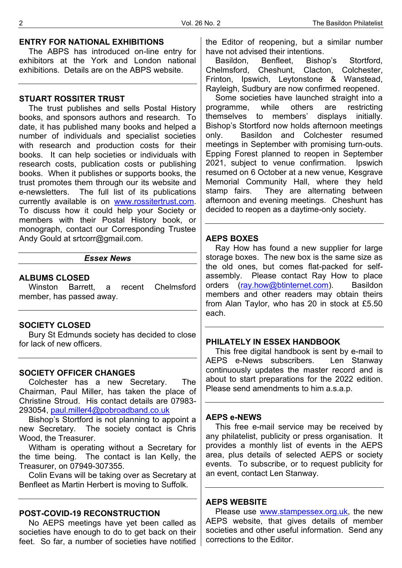#### **ENTRY FOR NATIONAL EXHIBITIONS**

The ABPS has introduced on-line entry for exhibitors at the York and London national exhibitions. Details are on the ABPS website.

### **STUART ROSSITER TRUST**

The trust publishes and sells Postal History books, and sponsors authors and research. To date, it has published many books and helped a number of individuals and specialist societies with research and production costs for their books. It can help societies or individuals with research costs, publication costs or publishing books. When it publishes or supports books, the trust promotes them through our its website and e-newsletters. The full list of its publications currently available is on [www.rossitertrust.com.](http://www.rossitertrust.com/) To discuss how it could help your Society or members with their Postal History book, or monograph, contact our Corresponding Trustee Andy Gould at srtcorr@gmail.com.

#### *Essex News*

#### **ALBUMS CLOSED**

Winston Barrett, a recent Chelmsford member, has passed away.

#### **SOCIETY CLOSED**

Bury St Edmunds society has decided to close for lack of new officers.

# **SOCIETY OFFICER CHANGES**

Colchester has a new Secretary. The Chairman, Paul Miller, has taken the place of Christine Stroud. His contact details are 07983- 293054, [paul.miller4@pobroadband.co.uk](mailto:paul.miller4@pobroadband.co.uk)

Bishop's Stortford is not planning to appoint a new Secretary. The society contact is Chris Wood, the Treasurer.

Witham is operating without a Secretary for the time being. The contact is Ian Kelly, the Treasurer, on 07949-307355.

Colin Evans will be taking over as Secretary at Benfleet as Martin Herbert is moving to Suffolk.

#### **POST-COVID-19 RECONSTRUCTION**

No AEPS meetings have yet been called as societies have enough to do to get back on their feet. So far, a number of societies have notified the Editor of reopening, but a similar number have not advised their intentions.

Basildon, Benfleet, Bishop's Stortford, Chelmsford, Cheshunt, Clacton, Colchester, Frinton, Ipswich, Leytonstone & Wanstead, Rayleigh, Sudbury are now confirmed reopened.

Some societies have launched straight into a programme, while others are restricting themselves to members' displays initially. Bishop's Stortford now holds afternoon meetings only. Basildon and Colchester resumed meetings in September with promising turn-outs. Epping Forest planned to reopen in September 2021, subject to venue confirmation. Ipswich resumed on 6 October at a new venue, Kesgrave Memorial Community Hall, where they held<br>stamp fairs. They are alternating between They are alternating between afternoon and evening meetings. Cheshunt has decided to reopen as a daytime-only society.

#### **AEPS BOXES**

Ray How has found a new supplier for large storage boxes. The new box is the same size as the old ones, but comes flat-packed for selfassembly. Please contact Ray How to place orders [\(ray.how@btinternet.com\)](mailto:ray.how@btinternet.com). Basildon members and other readers may obtain theirs from Alan Taylor, who has 20 in stock at £5.50 each.

#### **PHILATELY IN ESSEX HANDBOOK**

This free digital handbook is sent by e-mail to AEPS e-News subscribers. Len Stanway continuously updates the master record and is about to start preparations for the 2022 edition. Please send amendments to him a.s.a.p.

### **AEPS e-NEWS**

This free e-mail service may be received by any philatelist, publicity or press organisation. It provides a monthly list of events in the AEPS area, plus details of selected AEPS or society events. To subscribe, or to request publicity for an event, contact Len Stanway.

#### **AEPS WEBSITE**

Please use [www.stampessex.org.uk,](http://www.stampessex.org.uk/) the new AEPS website, that gives details of member societies and other useful information. Send any corrections to the Editor.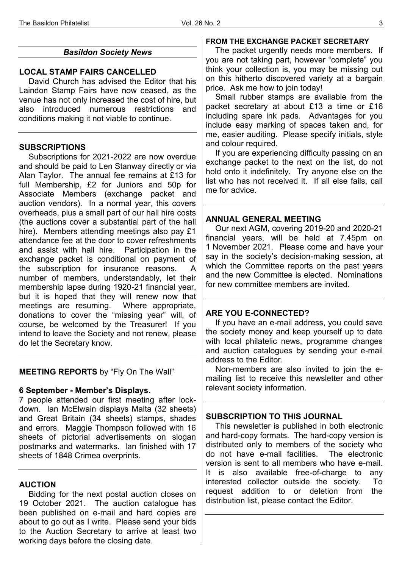# *Basildon Society News*

# **LOCAL STAMP FAIRS CANCELLED**

David Church has advised the Editor that his Laindon Stamp Fairs have now ceased, as the venue has not only increased the cost of hire, but also introduced numerous restrictions and conditions making it not viable to continue.

# **SUBSCRIPTIONS**

Subscriptions for 2021-2022 are now overdue and should be paid to Len Stanway directly or via Alan Taylor. The annual fee remains at £13 for full Membership, £2 for Juniors and 50p for Associate Members (exchange packet and auction vendors). In a normal year, this covers overheads, plus a small part of our hall hire costs (the auctions cover a substantial part of the hall hire). Members attending meetings also pay £1 attendance fee at the door to cover refreshments and assist with hall hire. Participation in the exchange packet is conditional on payment of the subscription for insurance reasons. number of members, understandably, let their membership lapse during 1920-21 financial year, but it is hoped that they will renew now that meetings are resuming. Where appropriate, donations to cover the "missing year" will, of course, be welcomed by the Treasurer! If you intend to leave the Society and not renew, please do let the Secretary know.

# **MEETING REPORTS** by "Fly On The Wall"

# **6 September - Member's Displays.**

7 people attended our first meeting after lockdown. Ian McElwain displays Malta (32 sheets) and Great Britain (34 sheets) stamps, shades and errors. Maggie Thompson followed with 16 sheets of pictorial advertisements on slogan postmarks and watermarks. Ian finished with 17 sheets of 1848 Crimea overprints.

# **AUCTION**

Bidding for the next postal auction closes on 19 October 2021. The auction catalogue has been published on e-mail and hard copies are about to go out as I write. Please send your bids to the Auction Secretary to arrive at least two working days before the closing date.

# **FROM THE EXCHANGE PACKET SECRETARY**

The packet urgently needs more members. If you are not taking part, however "complete" you think your collection is, you may be missing out on this hitherto discovered variety at a bargain price. Ask me how to join today!

Small rubber stamps are available from the packet secretary at about £13 a time or £16 including spare ink pads. Advantages for you include easy marking of spaces taken and, for me, easier auditing. Please specify initials, style and colour required.

If you are experiencing difficulty passing on an exchange packet to the next on the list, do not hold onto it indefinitely. Try anyone else on the list who has not received it. If all else fails, call me for advice.

# **ANNUAL GENERAL MEETING**

Our next AGM, covering 2019-20 and 2020-21 financial years, will be held at 7.45pm on 1 November 2021. Please come and have your say in the society's decision-making session, at which the Committee reports on the past years and the new Committee is elected. Nominations for new committee members are invited.

### **ARE YOU E-CONNECTED?**

If you have an e-mail address, you could save the society money and keep yourself up to date with local philatelic news, programme changes and auction catalogues by sending your e-mail address to the Editor.

Non-members are also invited to join the emailing list to receive this newsletter and other relevant society information.

# **SUBSCRIPTION TO THIS JOURNAL**

This newsletter is published in both electronic and hard-copy formats. The hard-copy version is distributed only to members of the society who do not have e-mail facilities. The electronic version is sent to all members who have e-mail. It is also available free-of-charge to any interested collector outside the society. To request addition to or deletion from the distribution list, please contact the Editor.